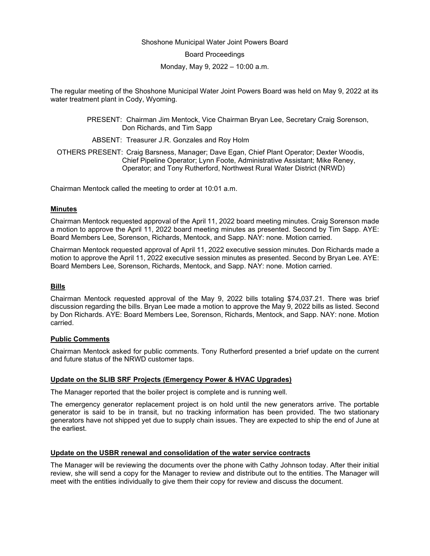### Shoshone Municipal Water Joint Powers Board

Board Proceedings

Monday, May 9, 2022 – 10:00 a.m.

The regular meeting of the Shoshone Municipal Water Joint Powers Board was held on May 9, 2022 at its water treatment plant in Cody, Wyoming.

> PRESENT: Chairman Jim Mentock, Vice Chairman Bryan Lee, Secretary Craig Sorenson, Don Richards, and Tim Sapp

ABSENT: Treasurer J.R. Gonzales and Roy Holm

OTHERS PRESENT: Craig Barsness, Manager; Dave Egan, Chief Plant Operator; Dexter Woodis, Chief Pipeline Operator; Lynn Foote, Administrative Assistant; Mike Reney, Operator; and Tony Rutherford, Northwest Rural Water District (NRWD)

Chairman Mentock called the meeting to order at 10:01 a.m.

#### **Minutes**

Chairman Mentock requested approval of the April 11, 2022 board meeting minutes. Craig Sorenson made a motion to approve the April 11, 2022 board meeting minutes as presented. Second by Tim Sapp. AYE: Board Members Lee, Sorenson, Richards, Mentock, and Sapp. NAY: none. Motion carried.

Chairman Mentock requested approval of April 11, 2022 executive session minutes. Don Richards made a motion to approve the April 11, 2022 executive session minutes as presented. Second by Bryan Lee. AYE: Board Members Lee, Sorenson, Richards, Mentock, and Sapp. NAY: none. Motion carried.

### **Bills**

Chairman Mentock requested approval of the May 9, 2022 bills totaling \$74,037.21. There was brief discussion regarding the bills. Bryan Lee made a motion to approve the May 9, 2022 bills as listed. Second by Don Richards. AYE: Board Members Lee, Sorenson, Richards, Mentock, and Sapp. NAY: none. Motion carried.

### **Public Comments**

Chairman Mentock asked for public comments. Tony Rutherford presented a brief update on the current and future status of the NRWD customer taps.

### **Update on the SLIB SRF Projects (Emergency Power & HVAC Upgrades)**

The Manager reported that the boiler project is complete and is running well.

The emergency generator replacement project is on hold until the new generators arrive. The portable generator is said to be in transit, but no tracking information has been provided. The two stationary generators have not shipped yet due to supply chain issues. They are expected to ship the end of June at the earliest.

### **Update on the USBR renewal and consolidation of the water service contracts**

The Manager will be reviewing the documents over the phone with Cathy Johnson today. After their initial review, she will send a copy for the Manager to review and distribute out to the entities. The Manager will meet with the entities individually to give them their copy for review and discuss the document.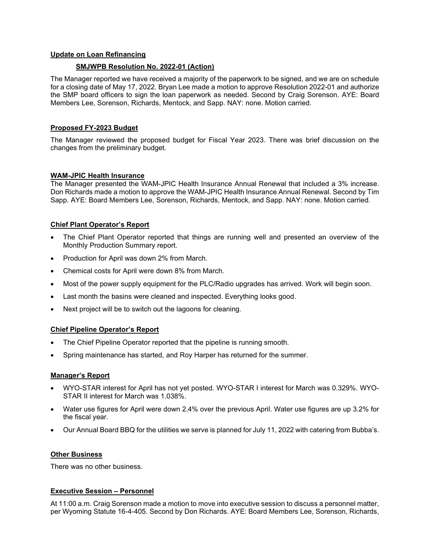## **Update on Loan Refinancing**

## **SMJWPB Resolution No. 2022-01 (Action)**

The Manager reported we have received a majority of the paperwork to be signed, and we are on schedule for a closing date of May 17, 2022. Bryan Lee made a motion to approve Resolution 2022-01 and authorize the SMP board officers to sign the loan paperwork as needed. Second by Craig Sorenson. AYE: Board Members Lee, Sorenson, Richards, Mentock, and Sapp. NAY: none. Motion carried.

## **Proposed FY-2023 Budget**

The Manager reviewed the proposed budget for Fiscal Year 2023. There was brief discussion on the changes from the preliminary budget.

### **WAM-JPIC Health Insurance**

The Manager presented the WAM-JPIC Health Insurance Annual Renewal that included a 3% increase. Don Richards made a motion to approve the WAM-JPIC Health Insurance Annual Renewal. Second by Tim Sapp. AYE: Board Members Lee, Sorenson, Richards, Mentock, and Sapp. NAY: none. Motion carried.

## **Chief Plant Operator's Report**

- The Chief Plant Operator reported that things are running well and presented an overview of the Monthly Production Summary report.
- Production for April was down 2% from March.
- Chemical costs for April were down 8% from March.
- Most of the power supply equipment for the PLC/Radio upgrades has arrived. Work will begin soon.
- Last month the basins were cleaned and inspected. Everything looks good.
- Next project will be to switch out the lagoons for cleaning.

### **Chief Pipeline Operator's Report**

- The Chief Pipeline Operator reported that the pipeline is running smooth.
- Spring maintenance has started, and Roy Harper has returned for the summer.

### **Manager's Report**

- WYO-STAR interest for April has not yet posted. WYO-STAR I interest for March was 0.329%. WYO-STAR II interest for March was 1.038%.
- Water use figures for April were down 2.4% over the previous April. Water use figures are up 3.2% for the fiscal year.
- Our Annual Board BBQ for the utilities we serve is planned for July 11, 2022 with catering from Bubba's.

### **Other Business**

There was no other business.

### **Executive Session – Personnel**

At 11:00 a.m. Craig Sorenson made a motion to move into executive session to discuss a personnel matter, per Wyoming Statute 16-4-405. Second by Don Richards. AYE: Board Members Lee, Sorenson, Richards,